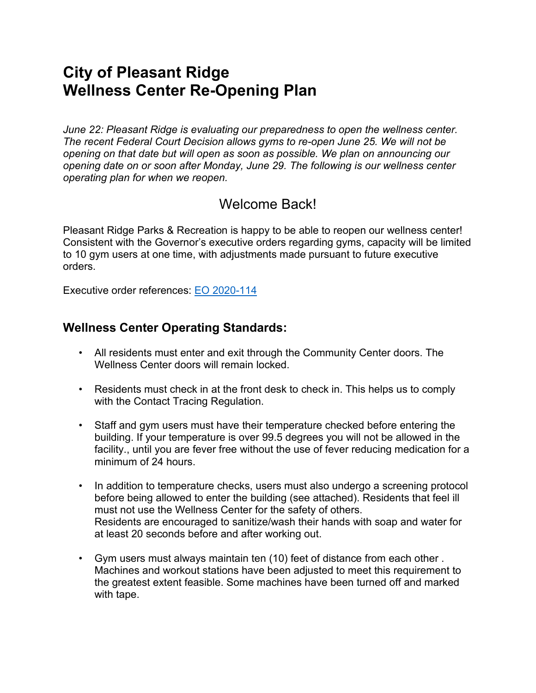# **City of Pleasant Ridge Wellness Center Re-Opening Plan**

*June 22: Pleasant Ridge is evaluating our preparedness to open the wellness center. The recent Federal Court Decision allows gyms to re-open June 25. We will not be opening on that date but will open as soon as possible. We plan on announcing our opening date on or soon after Monday, June 29. The following is our wellness center operating plan for when we reopen.*

## Welcome Back!

Pleasant Ridge Parks & Recreation is happy to be able to reopen our wellness center! Consistent with the Governor's executive orders regarding gyms, capacity will be limited to 10 gym users at one time, with adjustments made pursuant to future executive orders.

Executive order references: EO [2020-114](https://www.michigan.gov/whitmer/0,9309,7-387-90499_90705-531123--,00.html#:%7E:text=This%20order%20expanded%20on%20Executive,the%20Governor%20Act%20of%201945.)

## **Wellness Center Operating Standards:**

- All residents must enter and exit through the Community Center doors. The Wellness Center doors will remain locked.
- Residents must check in at the front desk to check in. This helps us to comply with the Contact Tracing Regulation.
- Staff and gym users must have their temperature checked before entering the building. If your temperature is over 99.5 degrees you will not be allowed in the facility., until you are fever free without the use of fever reducing medication for a minimum of 24 hours.
- In addition to temperature checks, users must also undergo a screening protocol before being allowed to enter the building (see attached). Residents that feel ill must not use the Wellness Center for the safety of others. Residents are encouraged to sanitize/wash their hands with soap and water for at least 20 seconds before and after working out.
- Gym users must always maintain ten (10) feet of distance from each other . Machines and workout stations have been adjusted to meet this requirement to the greatest extent feasible. Some machines have been turned off and marked with tape.